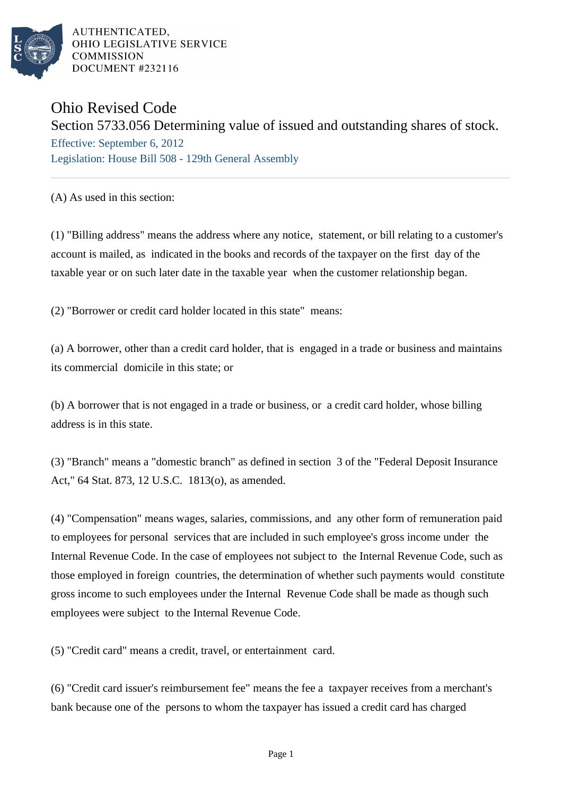

# Ohio Revised Code

# Section 5733.056 Determining value of issued and outstanding shares of stock.

Effective: September 6, 2012 Legislation: House Bill 508 - 129th General Assembly

(A) As used in this section:

(1) "Billing address" means the address where any notice, statement, or bill relating to a customer's account is mailed, as indicated in the books and records of the taxpayer on the first day of the taxable year or on such later date in the taxable year when the customer relationship began.

(2) "Borrower or credit card holder located in this state" means:

(a) A borrower, other than a credit card holder, that is engaged in a trade or business and maintains its commercial domicile in this state; or

(b) A borrower that is not engaged in a trade or business, or a credit card holder, whose billing address is in this state.

(3) "Branch" means a "domestic branch" as defined in section 3 of the "Federal Deposit Insurance Act," 64 Stat. 873, 12 U.S.C. 1813(o), as amended.

(4) "Compensation" means wages, salaries, commissions, and any other form of remuneration paid to employees for personal services that are included in such employee's gross income under the Internal Revenue Code. In the case of employees not subject to the Internal Revenue Code, such as those employed in foreign countries, the determination of whether such payments would constitute gross income to such employees under the Internal Revenue Code shall be made as though such employees were subject to the Internal Revenue Code.

(5) "Credit card" means a credit, travel, or entertainment card.

(6) "Credit card issuer's reimbursement fee" means the fee a taxpayer receives from a merchant's bank because one of the persons to whom the taxpayer has issued a credit card has charged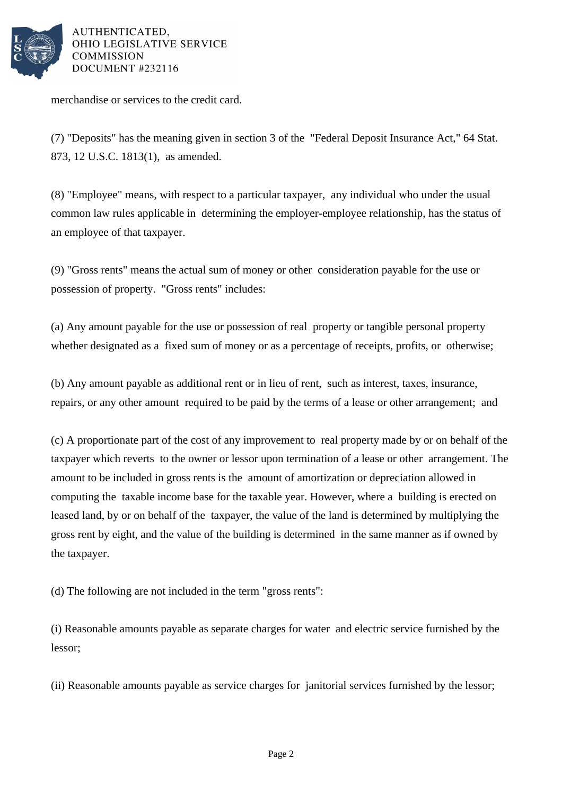

merchandise or services to the credit card.

(7) "Deposits" has the meaning given in section 3 of the "Federal Deposit Insurance Act," 64 Stat. 873, 12 U.S.C. 1813(1), as amended.

(8) "Employee" means, with respect to a particular taxpayer, any individual who under the usual common law rules applicable in determining the employer-employee relationship, has the status of an employee of that taxpayer.

(9) "Gross rents" means the actual sum of money or other consideration payable for the use or possession of property. "Gross rents" includes:

(a) Any amount payable for the use or possession of real property or tangible personal property whether designated as a fixed sum of money or as a percentage of receipts, profits, or otherwise;

(b) Any amount payable as additional rent or in lieu of rent, such as interest, taxes, insurance, repairs, or any other amount required to be paid by the terms of a lease or other arrangement; and

(c) A proportionate part of the cost of any improvement to real property made by or on behalf of the taxpayer which reverts to the owner or lessor upon termination of a lease or other arrangement. The amount to be included in gross rents is the amount of amortization or depreciation allowed in computing the taxable income base for the taxable year. However, where a building is erected on leased land, by or on behalf of the taxpayer, the value of the land is determined by multiplying the gross rent by eight, and the value of the building is determined in the same manner as if owned by the taxpayer.

(d) The following are not included in the term "gross rents":

(i) Reasonable amounts payable as separate charges for water and electric service furnished by the lessor;

(ii) Reasonable amounts payable as service charges for janitorial services furnished by the lessor;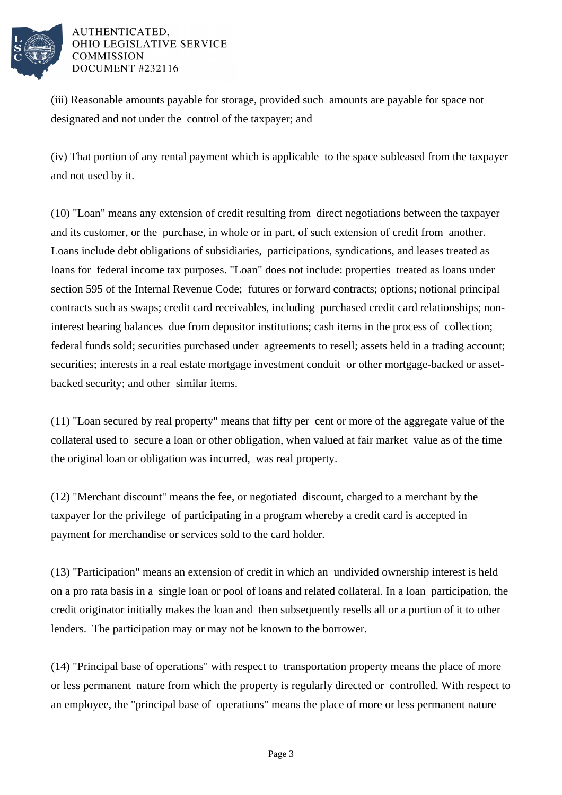

(iii) Reasonable amounts payable for storage, provided such amounts are payable for space not designated and not under the control of the taxpayer; and

(iv) That portion of any rental payment which is applicable to the space subleased from the taxpayer and not used by it.

(10) "Loan" means any extension of credit resulting from direct negotiations between the taxpayer and its customer, or the purchase, in whole or in part, of such extension of credit from another. Loans include debt obligations of subsidiaries, participations, syndications, and leases treated as loans for federal income tax purposes. "Loan" does not include: properties treated as loans under section 595 of the Internal Revenue Code; futures or forward contracts; options; notional principal contracts such as swaps; credit card receivables, including purchased credit card relationships; noninterest bearing balances due from depositor institutions; cash items in the process of collection; federal funds sold; securities purchased under agreements to resell; assets held in a trading account; securities; interests in a real estate mortgage investment conduit or other mortgage-backed or assetbacked security; and other similar items.

(11) "Loan secured by real property" means that fifty per cent or more of the aggregate value of the collateral used to secure a loan or other obligation, when valued at fair market value as of the time the original loan or obligation was incurred, was real property.

(12) "Merchant discount" means the fee, or negotiated discount, charged to a merchant by the taxpayer for the privilege of participating in a program whereby a credit card is accepted in payment for merchandise or services sold to the card holder.

(13) "Participation" means an extension of credit in which an undivided ownership interest is held on a pro rata basis in a single loan or pool of loans and related collateral. In a loan participation, the credit originator initially makes the loan and then subsequently resells all or a portion of it to other lenders. The participation may or may not be known to the borrower.

(14) "Principal base of operations" with respect to transportation property means the place of more or less permanent nature from which the property is regularly directed or controlled. With respect to an employee, the "principal base of operations" means the place of more or less permanent nature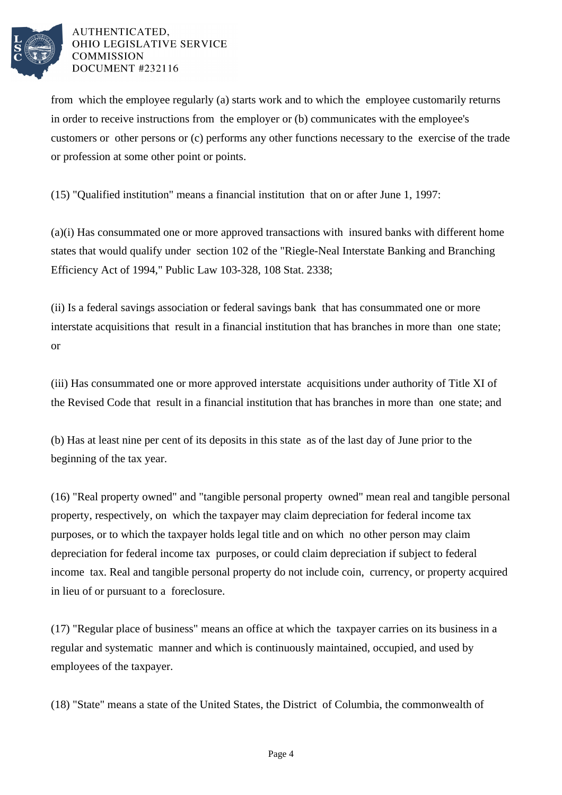

from which the employee regularly (a) starts work and to which the employee customarily returns in order to receive instructions from the employer or (b) communicates with the employee's customers or other persons or (c) performs any other functions necessary to the exercise of the trade or profession at some other point or points.

(15) "Qualified institution" means a financial institution that on or after June 1, 1997:

(a)(i) Has consummated one or more approved transactions with insured banks with different home states that would qualify under section 102 of the "Riegle-Neal Interstate Banking and Branching Efficiency Act of 1994," Public Law 103-328, 108 Stat. 2338;

(ii) Is a federal savings association or federal savings bank that has consummated one or more interstate acquisitions that result in a financial institution that has branches in more than one state; or

(iii) Has consummated one or more approved interstate acquisitions under authority of Title XI of the Revised Code that result in a financial institution that has branches in more than one state; and

(b) Has at least nine per cent of its deposits in this state as of the last day of June prior to the beginning of the tax year.

(16) "Real property owned" and "tangible personal property owned" mean real and tangible personal property, respectively, on which the taxpayer may claim depreciation for federal income tax purposes, or to which the taxpayer holds legal title and on which no other person may claim depreciation for federal income tax purposes, or could claim depreciation if subject to federal income tax. Real and tangible personal property do not include coin, currency, or property acquired in lieu of or pursuant to a foreclosure.

(17) "Regular place of business" means an office at which the taxpayer carries on its business in a regular and systematic manner and which is continuously maintained, occupied, and used by employees of the taxpayer.

(18) "State" means a state of the United States, the District of Columbia, the commonwealth of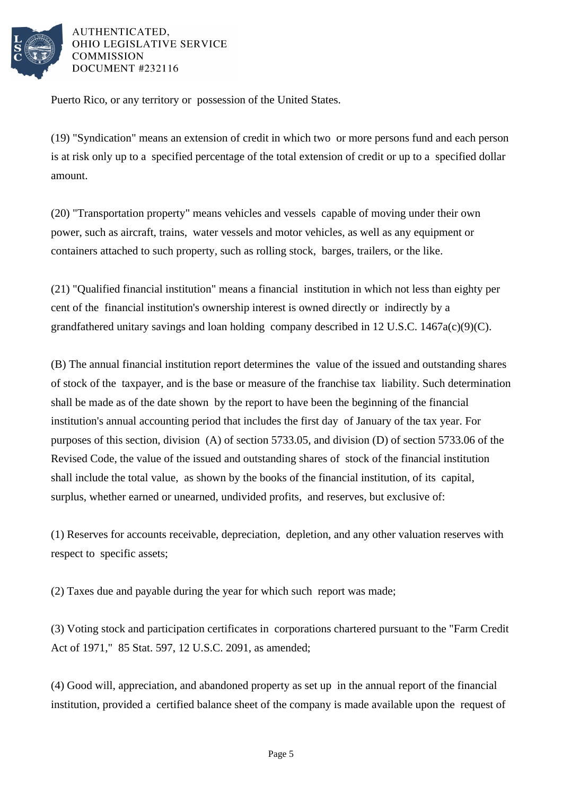

Puerto Rico, or any territory or possession of the United States.

(19) "Syndication" means an extension of credit in which two or more persons fund and each person is at risk only up to a specified percentage of the total extension of credit or up to a specified dollar amount.

(20) "Transportation property" means vehicles and vessels capable of moving under their own power, such as aircraft, trains, water vessels and motor vehicles, as well as any equipment or containers attached to such property, such as rolling stock, barges, trailers, or the like.

(21) "Qualified financial institution" means a financial institution in which not less than eighty per cent of the financial institution's ownership interest is owned directly or indirectly by a grandfathered unitary savings and loan holding company described in 12 U.S.C. 1467a(c)(9)(C).

(B) The annual financial institution report determines the value of the issued and outstanding shares of stock of the taxpayer, and is the base or measure of the franchise tax liability. Such determination shall be made as of the date shown by the report to have been the beginning of the financial institution's annual accounting period that includes the first day of January of the tax year. For purposes of this section, division (A) of section 5733.05, and division (D) of section 5733.06 of the Revised Code, the value of the issued and outstanding shares of stock of the financial institution shall include the total value, as shown by the books of the financial institution, of its capital, surplus, whether earned or unearned, undivided profits, and reserves, but exclusive of:

(1) Reserves for accounts receivable, depreciation, depletion, and any other valuation reserves with respect to specific assets;

(2) Taxes due and payable during the year for which such report was made;

(3) Voting stock and participation certificates in corporations chartered pursuant to the "Farm Credit Act of 1971," 85 Stat. 597, 12 U.S.C. 2091, as amended;

(4) Good will, appreciation, and abandoned property as set up in the annual report of the financial institution, provided a certified balance sheet of the company is made available upon the request of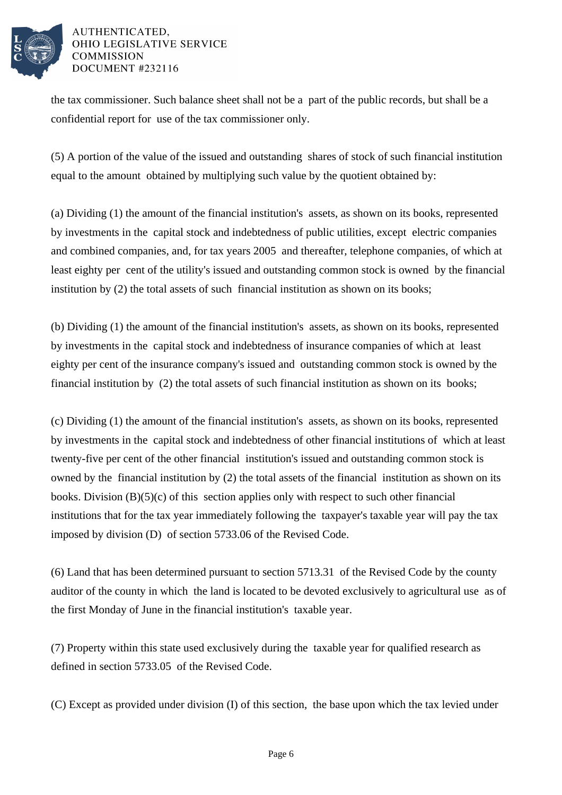

the tax commissioner. Such balance sheet shall not be a part of the public records, but shall be a confidential report for use of the tax commissioner only.

(5) A portion of the value of the issued and outstanding shares of stock of such financial institution equal to the amount obtained by multiplying such value by the quotient obtained by:

(a) Dividing (1) the amount of the financial institution's assets, as shown on its books, represented by investments in the capital stock and indebtedness of public utilities, except electric companies and combined companies, and, for tax years 2005 and thereafter, telephone companies, of which at least eighty per cent of the utility's issued and outstanding common stock is owned by the financial institution by (2) the total assets of such financial institution as shown on its books;

(b) Dividing (1) the amount of the financial institution's assets, as shown on its books, represented by investments in the capital stock and indebtedness of insurance companies of which at least eighty per cent of the insurance company's issued and outstanding common stock is owned by the financial institution by (2) the total assets of such financial institution as shown on its books;

(c) Dividing (1) the amount of the financial institution's assets, as shown on its books, represented by investments in the capital stock and indebtedness of other financial institutions of which at least twenty-five per cent of the other financial institution's issued and outstanding common stock is owned by the financial institution by (2) the total assets of the financial institution as shown on its books. Division (B)(5)(c) of this section applies only with respect to such other financial institutions that for the tax year immediately following the taxpayer's taxable year will pay the tax imposed by division (D) of section 5733.06 of the Revised Code.

(6) Land that has been determined pursuant to section 5713.31 of the Revised Code by the county auditor of the county in which the land is located to be devoted exclusively to agricultural use as of the first Monday of June in the financial institution's taxable year.

(7) Property within this state used exclusively during the taxable year for qualified research as defined in section 5733.05 of the Revised Code.

(C) Except as provided under division (I) of this section, the base upon which the tax levied under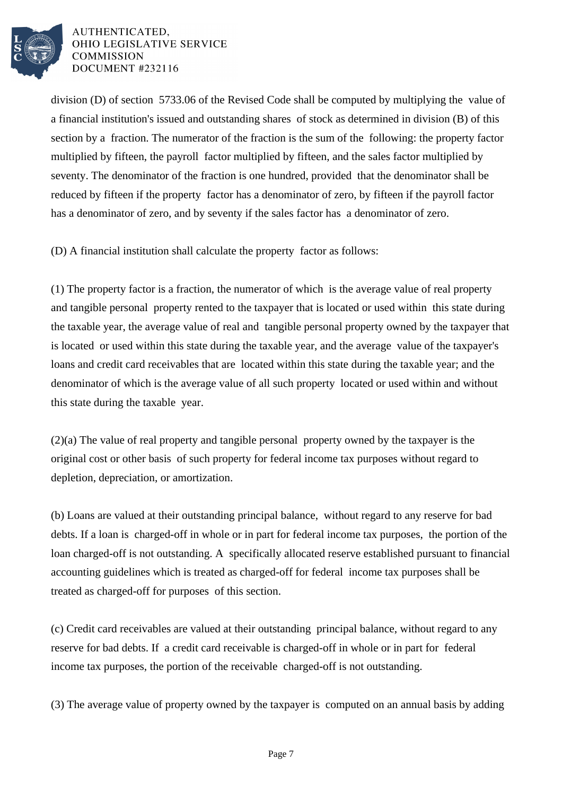

division (D) of section 5733.06 of the Revised Code shall be computed by multiplying the value of a financial institution's issued and outstanding shares of stock as determined in division (B) of this section by a fraction. The numerator of the fraction is the sum of the following: the property factor multiplied by fifteen, the payroll factor multiplied by fifteen, and the sales factor multiplied by seventy. The denominator of the fraction is one hundred, provided that the denominator shall be reduced by fifteen if the property factor has a denominator of zero, by fifteen if the payroll factor has a denominator of zero, and by seventy if the sales factor has a denominator of zero.

(D) A financial institution shall calculate the property factor as follows:

(1) The property factor is a fraction, the numerator of which is the average value of real property and tangible personal property rented to the taxpayer that is located or used within this state during the taxable year, the average value of real and tangible personal property owned by the taxpayer that is located or used within this state during the taxable year, and the average value of the taxpayer's loans and credit card receivables that are located within this state during the taxable year; and the denominator of which is the average value of all such property located or used within and without this state during the taxable year.

(2)(a) The value of real property and tangible personal property owned by the taxpayer is the original cost or other basis of such property for federal income tax purposes without regard to depletion, depreciation, or amortization.

(b) Loans are valued at their outstanding principal balance, without regard to any reserve for bad debts. If a loan is charged-off in whole or in part for federal income tax purposes, the portion of the loan charged-off is not outstanding. A specifically allocated reserve established pursuant to financial accounting guidelines which is treated as charged-off for federal income tax purposes shall be treated as charged-off for purposes of this section.

(c) Credit card receivables are valued at their outstanding principal balance, without regard to any reserve for bad debts. If a credit card receivable is charged-off in whole or in part for federal income tax purposes, the portion of the receivable charged-off is not outstanding.

(3) The average value of property owned by the taxpayer is computed on an annual basis by adding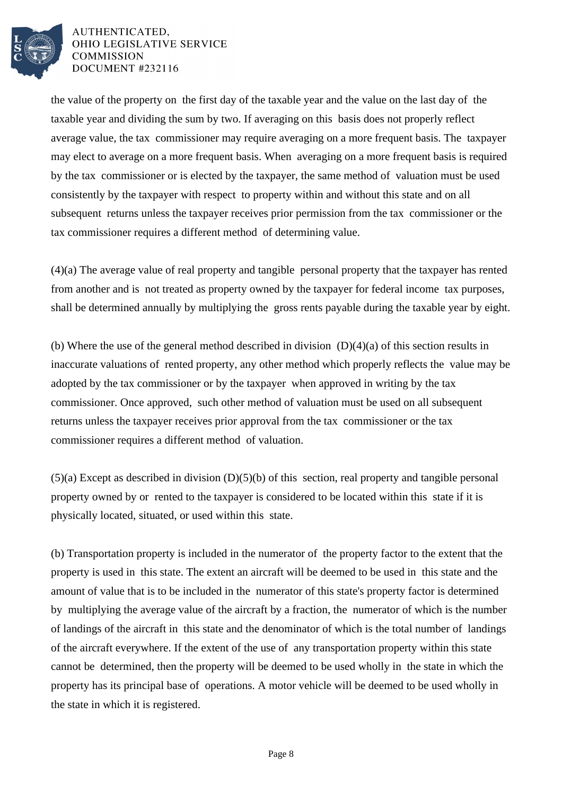

the value of the property on the first day of the taxable year and the value on the last day of the taxable year and dividing the sum by two. If averaging on this basis does not properly reflect average value, the tax commissioner may require averaging on a more frequent basis. The taxpayer may elect to average on a more frequent basis. When averaging on a more frequent basis is required by the tax commissioner or is elected by the taxpayer, the same method of valuation must be used consistently by the taxpayer with respect to property within and without this state and on all subsequent returns unless the taxpayer receives prior permission from the tax commissioner or the tax commissioner requires a different method of determining value.

(4)(a) The average value of real property and tangible personal property that the taxpayer has rented from another and is not treated as property owned by the taxpayer for federal income tax purposes, shall be determined annually by multiplying the gross rents payable during the taxable year by eight.

(b) Where the use of the general method described in division (D)(4)(a) of this section results in inaccurate valuations of rented property, any other method which properly reflects the value may be adopted by the tax commissioner or by the taxpayer when approved in writing by the tax commissioner. Once approved, such other method of valuation must be used on all subsequent returns unless the taxpayer receives prior approval from the tax commissioner or the tax commissioner requires a different method of valuation.

(5)(a) Except as described in division (D)(5)(b) of this section, real property and tangible personal property owned by or rented to the taxpayer is considered to be located within this state if it is physically located, situated, or used within this state.

(b) Transportation property is included in the numerator of the property factor to the extent that the property is used in this state. The extent an aircraft will be deemed to be used in this state and the amount of value that is to be included in the numerator of this state's property factor is determined by multiplying the average value of the aircraft by a fraction, the numerator of which is the number of landings of the aircraft in this state and the denominator of which is the total number of landings of the aircraft everywhere. If the extent of the use of any transportation property within this state cannot be determined, then the property will be deemed to be used wholly in the state in which the property has its principal base of operations. A motor vehicle will be deemed to be used wholly in the state in which it is registered.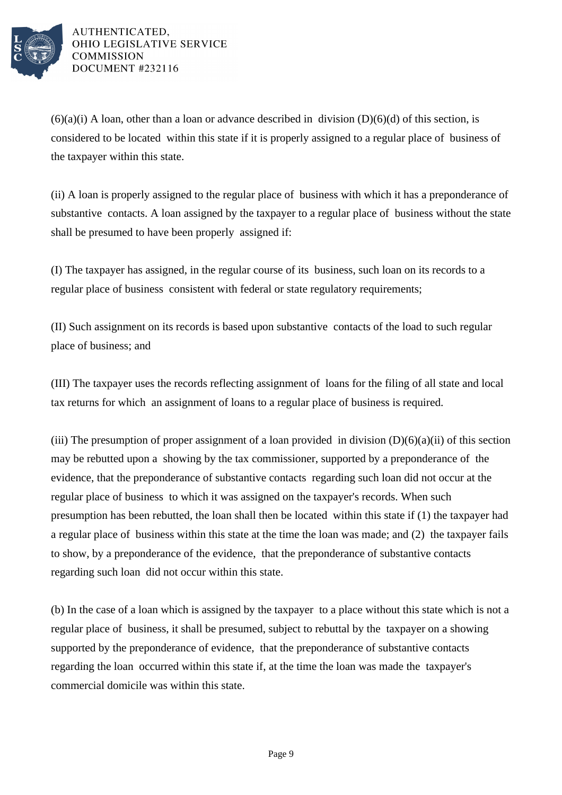

 $(6)(a)(i)$  A loan, other than a loan or advance described in division  $(D)(6)(d)$  of this section, is considered to be located within this state if it is properly assigned to a regular place of business of the taxpayer within this state.

(ii) A loan is properly assigned to the regular place of business with which it has a preponderance of substantive contacts. A loan assigned by the taxpayer to a regular place of business without the state shall be presumed to have been properly assigned if:

(I) The taxpayer has assigned, in the regular course of its business, such loan on its records to a regular place of business consistent with federal or state regulatory requirements;

(II) Such assignment on its records is based upon substantive contacts of the load to such regular place of business; and

(III) The taxpayer uses the records reflecting assignment of loans for the filing of all state and local tax returns for which an assignment of loans to a regular place of business is required.

(iii) The presumption of proper assignment of a loan provided in division  $(D)(6)(a)(ii)$  of this section may be rebutted upon a showing by the tax commissioner, supported by a preponderance of the evidence, that the preponderance of substantive contacts regarding such loan did not occur at the regular place of business to which it was assigned on the taxpayer's records. When such presumption has been rebutted, the loan shall then be located within this state if (1) the taxpayer had a regular place of business within this state at the time the loan was made; and (2) the taxpayer fails to show, by a preponderance of the evidence, that the preponderance of substantive contacts regarding such loan did not occur within this state.

(b) In the case of a loan which is assigned by the taxpayer to a place without this state which is not a regular place of business, it shall be presumed, subject to rebuttal by the taxpayer on a showing supported by the preponderance of evidence, that the preponderance of substantive contacts regarding the loan occurred within this state if, at the time the loan was made the taxpayer's commercial domicile was within this state.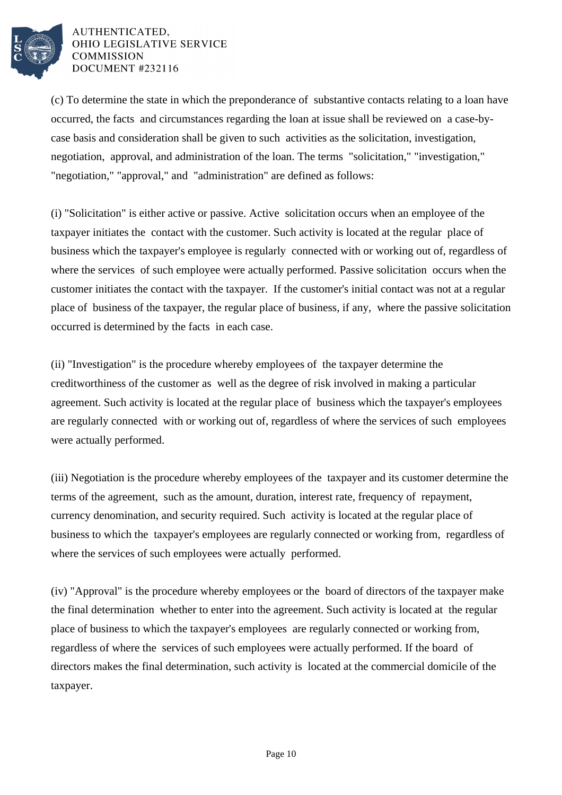

(c) To determine the state in which the preponderance of substantive contacts relating to a loan have occurred, the facts and circumstances regarding the loan at issue shall be reviewed on a case-bycase basis and consideration shall be given to such activities as the solicitation, investigation, negotiation, approval, and administration of the loan. The terms "solicitation," "investigation," "negotiation," "approval," and "administration" are defined as follows:

(i) "Solicitation" is either active or passive. Active solicitation occurs when an employee of the taxpayer initiates the contact with the customer. Such activity is located at the regular place of business which the taxpayer's employee is regularly connected with or working out of, regardless of where the services of such employee were actually performed. Passive solicitation occurs when the customer initiates the contact with the taxpayer. If the customer's initial contact was not at a regular place of business of the taxpayer, the regular place of business, if any, where the passive solicitation occurred is determined by the facts in each case.

(ii) "Investigation" is the procedure whereby employees of the taxpayer determine the creditworthiness of the customer as well as the degree of risk involved in making a particular agreement. Such activity is located at the regular place of business which the taxpayer's employees are regularly connected with or working out of, regardless of where the services of such employees were actually performed.

(iii) Negotiation is the procedure whereby employees of the taxpayer and its customer determine the terms of the agreement, such as the amount, duration, interest rate, frequency of repayment, currency denomination, and security required. Such activity is located at the regular place of business to which the taxpayer's employees are regularly connected or working from, regardless of where the services of such employees were actually performed.

(iv) "Approval" is the procedure whereby employees or the board of directors of the taxpayer make the final determination whether to enter into the agreement. Such activity is located at the regular place of business to which the taxpayer's employees are regularly connected or working from, regardless of where the services of such employees were actually performed. If the board of directors makes the final determination, such activity is located at the commercial domicile of the taxpayer.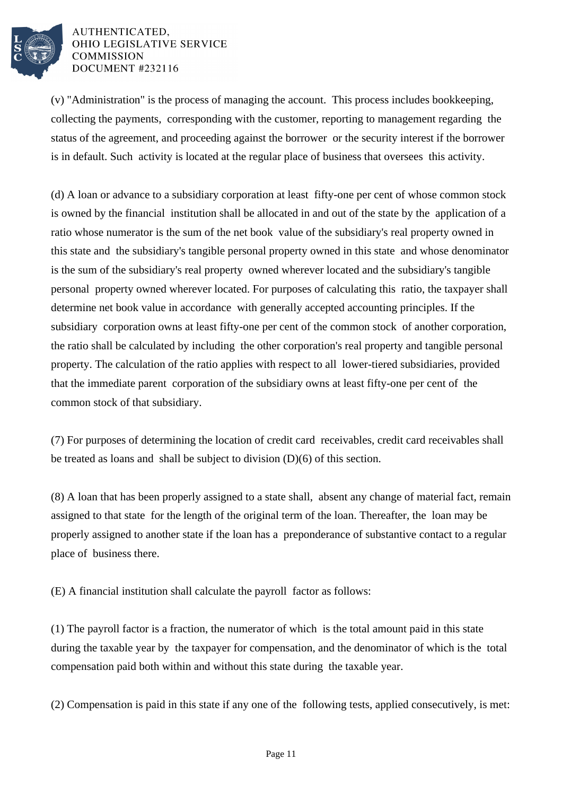

(v) "Administration" is the process of managing the account. This process includes bookkeeping, collecting the payments, corresponding with the customer, reporting to management regarding the status of the agreement, and proceeding against the borrower or the security interest if the borrower is in default. Such activity is located at the regular place of business that oversees this activity.

(d) A loan or advance to a subsidiary corporation at least fifty-one per cent of whose common stock is owned by the financial institution shall be allocated in and out of the state by the application of a ratio whose numerator is the sum of the net book value of the subsidiary's real property owned in this state and the subsidiary's tangible personal property owned in this state and whose denominator is the sum of the subsidiary's real property owned wherever located and the subsidiary's tangible personal property owned wherever located. For purposes of calculating this ratio, the taxpayer shall determine net book value in accordance with generally accepted accounting principles. If the subsidiary corporation owns at least fifty-one per cent of the common stock of another corporation, the ratio shall be calculated by including the other corporation's real property and tangible personal property. The calculation of the ratio applies with respect to all lower-tiered subsidiaries, provided that the immediate parent corporation of the subsidiary owns at least fifty-one per cent of the common stock of that subsidiary.

(7) For purposes of determining the location of credit card receivables, credit card receivables shall be treated as loans and shall be subject to division (D)(6) of this section.

(8) A loan that has been properly assigned to a state shall, absent any change of material fact, remain assigned to that state for the length of the original term of the loan. Thereafter, the loan may be properly assigned to another state if the loan has a preponderance of substantive contact to a regular place of business there.

(E) A financial institution shall calculate the payroll factor as follows:

(1) The payroll factor is a fraction, the numerator of which is the total amount paid in this state during the taxable year by the taxpayer for compensation, and the denominator of which is the total compensation paid both within and without this state during the taxable year.

(2) Compensation is paid in this state if any one of the following tests, applied consecutively, is met: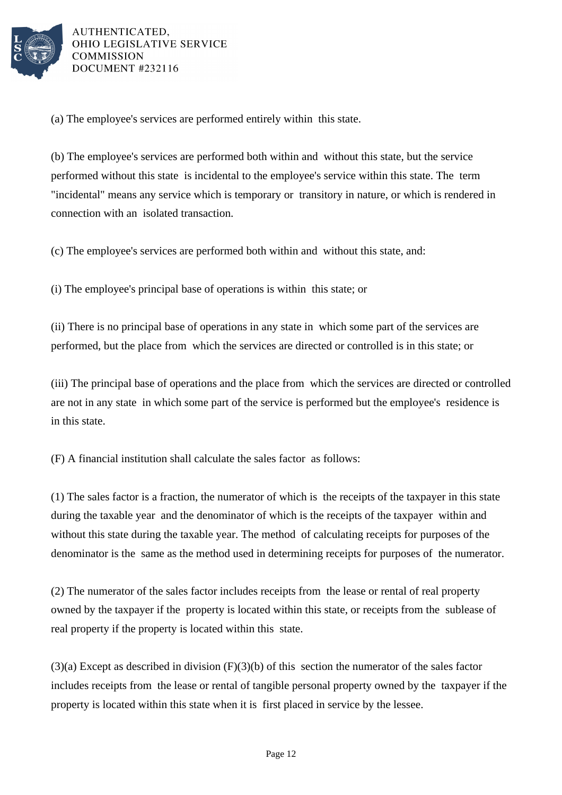

(a) The employee's services are performed entirely within this state.

(b) The employee's services are performed both within and without this state, but the service performed without this state is incidental to the employee's service within this state. The term "incidental" means any service which is temporary or transitory in nature, or which is rendered in connection with an isolated transaction.

(c) The employee's services are performed both within and without this state, and:

(i) The employee's principal base of operations is within this state; or

(ii) There is no principal base of operations in any state in which some part of the services are performed, but the place from which the services are directed or controlled is in this state; or

(iii) The principal base of operations and the place from which the services are directed or controlled are not in any state in which some part of the service is performed but the employee's residence is in this state.

(F) A financial institution shall calculate the sales factor as follows:

(1) The sales factor is a fraction, the numerator of which is the receipts of the taxpayer in this state during the taxable year and the denominator of which is the receipts of the taxpayer within and without this state during the taxable year. The method of calculating receipts for purposes of the denominator is the same as the method used in determining receipts for purposes of the numerator.

(2) The numerator of the sales factor includes receipts from the lease or rental of real property owned by the taxpayer if the property is located within this state, or receipts from the sublease of real property if the property is located within this state.

 $(3)(a)$  Except as described in division  $(F)(3)(b)$  of this section the numerator of the sales factor includes receipts from the lease or rental of tangible personal property owned by the taxpayer if the property is located within this state when it is first placed in service by the lessee.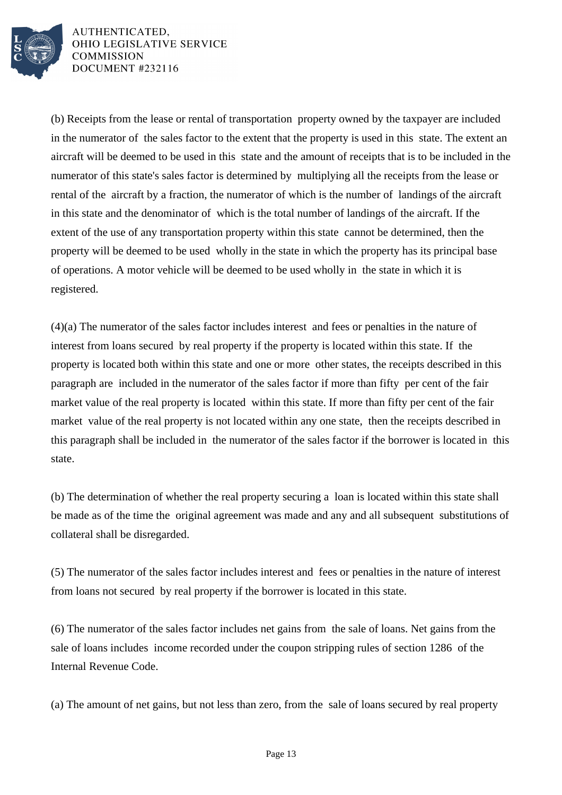

(b) Receipts from the lease or rental of transportation property owned by the taxpayer are included in the numerator of the sales factor to the extent that the property is used in this state. The extent an aircraft will be deemed to be used in this state and the amount of receipts that is to be included in the numerator of this state's sales factor is determined by multiplying all the receipts from the lease or rental of the aircraft by a fraction, the numerator of which is the number of landings of the aircraft in this state and the denominator of which is the total number of landings of the aircraft. If the extent of the use of any transportation property within this state cannot be determined, then the property will be deemed to be used wholly in the state in which the property has its principal base of operations. A motor vehicle will be deemed to be used wholly in the state in which it is registered.

(4)(a) The numerator of the sales factor includes interest and fees or penalties in the nature of interest from loans secured by real property if the property is located within this state. If the property is located both within this state and one or more other states, the receipts described in this paragraph are included in the numerator of the sales factor if more than fifty per cent of the fair market value of the real property is located within this state. If more than fifty per cent of the fair market value of the real property is not located within any one state, then the receipts described in this paragraph shall be included in the numerator of the sales factor if the borrower is located in this state.

(b) The determination of whether the real property securing a loan is located within this state shall be made as of the time the original agreement was made and any and all subsequent substitutions of collateral shall be disregarded.

(5) The numerator of the sales factor includes interest and fees or penalties in the nature of interest from loans not secured by real property if the borrower is located in this state.

(6) The numerator of the sales factor includes net gains from the sale of loans. Net gains from the sale of loans includes income recorded under the coupon stripping rules of section 1286 of the Internal Revenue Code.

(a) The amount of net gains, but not less than zero, from the sale of loans secured by real property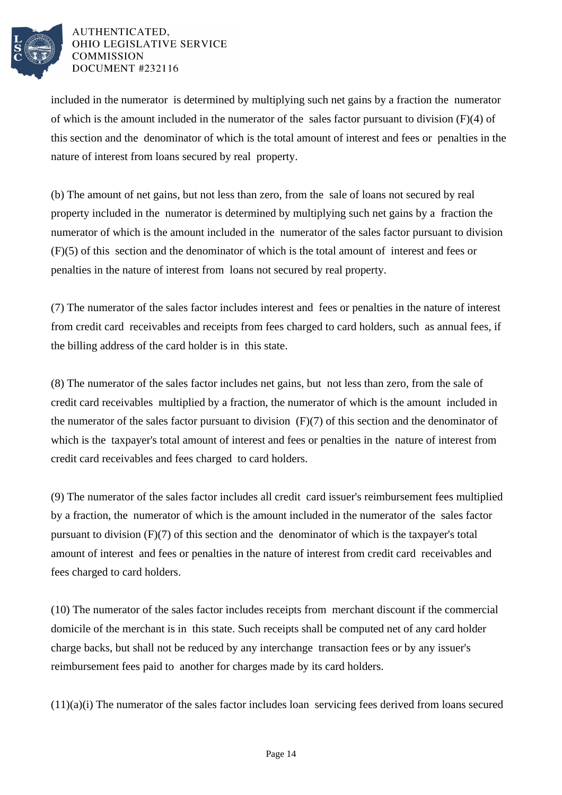

included in the numerator is determined by multiplying such net gains by a fraction the numerator of which is the amount included in the numerator of the sales factor pursuant to division (F)(4) of this section and the denominator of which is the total amount of interest and fees or penalties in the nature of interest from loans secured by real property.

(b) The amount of net gains, but not less than zero, from the sale of loans not secured by real property included in the numerator is determined by multiplying such net gains by a fraction the numerator of which is the amount included in the numerator of the sales factor pursuant to division (F)(5) of this section and the denominator of which is the total amount of interest and fees or penalties in the nature of interest from loans not secured by real property.

(7) The numerator of the sales factor includes interest and fees or penalties in the nature of interest from credit card receivables and receipts from fees charged to card holders, such as annual fees, if the billing address of the card holder is in this state.

(8) The numerator of the sales factor includes net gains, but not less than zero, from the sale of credit card receivables multiplied by a fraction, the numerator of which is the amount included in the numerator of the sales factor pursuant to division (F)(7) of this section and the denominator of which is the taxpayer's total amount of interest and fees or penalties in the nature of interest from credit card receivables and fees charged to card holders.

(9) The numerator of the sales factor includes all credit card issuer's reimbursement fees multiplied by a fraction, the numerator of which is the amount included in the numerator of the sales factor pursuant to division (F)(7) of this section and the denominator of which is the taxpayer's total amount of interest and fees or penalties in the nature of interest from credit card receivables and fees charged to card holders.

(10) The numerator of the sales factor includes receipts from merchant discount if the commercial domicile of the merchant is in this state. Such receipts shall be computed net of any card holder charge backs, but shall not be reduced by any interchange transaction fees or by any issuer's reimbursement fees paid to another for charges made by its card holders.

(11)(a)(i) The numerator of the sales factor includes loan servicing fees derived from loans secured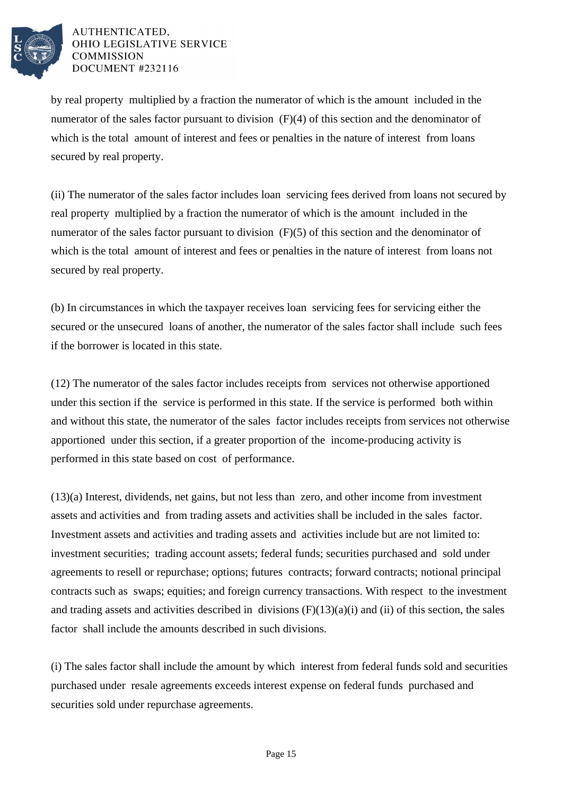

by real property multiplied by a fraction the numerator of which is the amount included in the numerator of the sales factor pursuant to division (F)(4) of this section and the denominator of which is the total amount of interest and fees or penalties in the nature of interest from loans secured by real property.

(ii) The numerator of the sales factor includes loan servicing fees derived from loans not secured by real property multiplied by a fraction the numerator of which is the amount included in the numerator of the sales factor pursuant to division (F)(5) of this section and the denominator of which is the total amount of interest and fees or penalties in the nature of interest from loans not secured by real property.

(b) In circumstances in which the taxpayer receives loan servicing fees for servicing either the secured or the unsecured loans of another, the numerator of the sales factor shall include such fees if the borrower is located in this state.

(12) The numerator of the sales factor includes receipts from services not otherwise apportioned under this section if the service is performed in this state. If the service is performed both within and without this state, the numerator of the sales factor includes receipts from services not otherwise apportioned under this section, if a greater proportion of the income-producing activity is performed in this state based on cost of performance.

(13)(a) Interest, dividends, net gains, but not less than zero, and other income from investment assets and activities and from trading assets and activities shall be included in the sales factor. Investment assets and activities and trading assets and activities include but are not limited to: investment securities; trading account assets; federal funds; securities purchased and sold under agreements to resell or repurchase; options; futures contracts; forward contracts; notional principal contracts such as swaps; equities; and foreign currency transactions. With respect to the investment and trading assets and activities described in divisions  $(F)(13)(a)(i)$  and  $(ii)$  of this section, the sales factor shall include the amounts described in such divisions.

(i) The sales factor shall include the amount by which interest from federal funds sold and securities purchased under resale agreements exceeds interest expense on federal funds purchased and securities sold under repurchase agreements.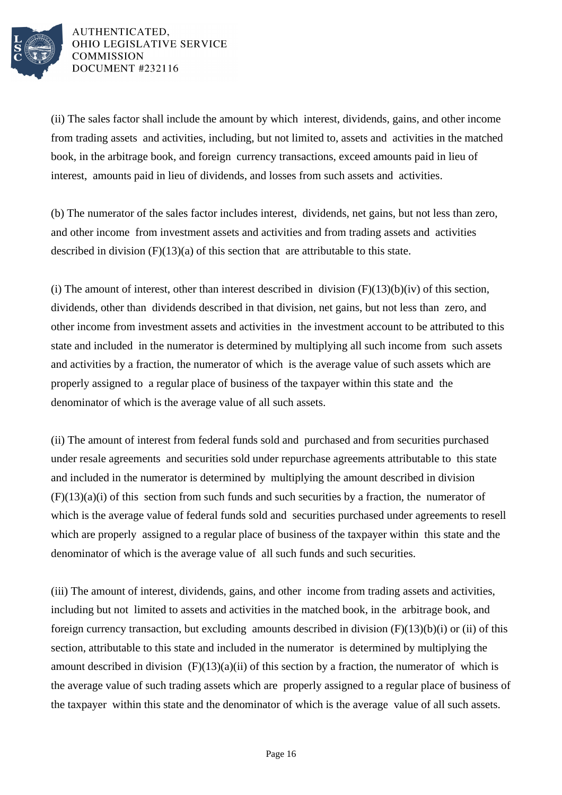

(ii) The sales factor shall include the amount by which interest, dividends, gains, and other income from trading assets and activities, including, but not limited to, assets and activities in the matched book, in the arbitrage book, and foreign currency transactions, exceed amounts paid in lieu of interest, amounts paid in lieu of dividends, and losses from such assets and activities.

(b) The numerator of the sales factor includes interest, dividends, net gains, but not less than zero, and other income from investment assets and activities and from trading assets and activities described in division  $(F)(13)(a)$  of this section that are attributable to this state.

(i) The amount of interest, other than interest described in division  $(F)(13)(b)(iv)$  of this section, dividends, other than dividends described in that division, net gains, but not less than zero, and other income from investment assets and activities in the investment account to be attributed to this state and included in the numerator is determined by multiplying all such income from such assets and activities by a fraction, the numerator of which is the average value of such assets which are properly assigned to a regular place of business of the taxpayer within this state and the denominator of which is the average value of all such assets.

(ii) The amount of interest from federal funds sold and purchased and from securities purchased under resale agreements and securities sold under repurchase agreements attributable to this state and included in the numerator is determined by multiplying the amount described in division  $(F)(13)(a)(i)$  of this section from such funds and such securities by a fraction, the numerator of which is the average value of federal funds sold and securities purchased under agreements to resell which are properly assigned to a regular place of business of the taxpayer within this state and the denominator of which is the average value of all such funds and such securities.

(iii) The amount of interest, dividends, gains, and other income from trading assets and activities, including but not limited to assets and activities in the matched book, in the arbitrage book, and foreign currency transaction, but excluding amounts described in division (F)(13)(b)(i) or (ii) of this section, attributable to this state and included in the numerator is determined by multiplying the amount described in division  $(F)(13)(a)(ii)$  of this section by a fraction, the numerator of which is the average value of such trading assets which are properly assigned to a regular place of business of the taxpayer within this state and the denominator of which is the average value of all such assets.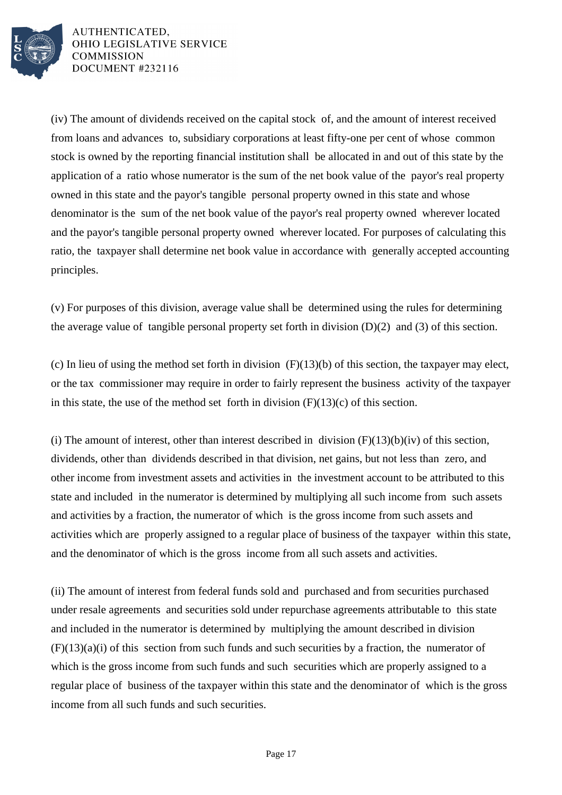![](_page_16_Picture_0.jpeg)

(iv) The amount of dividends received on the capital stock of, and the amount of interest received from loans and advances to, subsidiary corporations at least fifty-one per cent of whose common stock is owned by the reporting financial institution shall be allocated in and out of this state by the application of a ratio whose numerator is the sum of the net book value of the payor's real property owned in this state and the payor's tangible personal property owned in this state and whose denominator is the sum of the net book value of the payor's real property owned wherever located and the payor's tangible personal property owned wherever located. For purposes of calculating this ratio, the taxpayer shall determine net book value in accordance with generally accepted accounting principles.

(v) For purposes of this division, average value shall be determined using the rules for determining the average value of tangible personal property set forth in division (D)(2) and (3) of this section.

(c) In lieu of using the method set forth in division (F)(13)(b) of this section, the taxpayer may elect, or the tax commissioner may require in order to fairly represent the business activity of the taxpayer in this state, the use of the method set forth in division  $(F)(13)(c)$  of this section.

(i) The amount of interest, other than interest described in division  $(F)(13)(b)(iv)$  of this section, dividends, other than dividends described in that division, net gains, but not less than zero, and other income from investment assets and activities in the investment account to be attributed to this state and included in the numerator is determined by multiplying all such income from such assets and activities by a fraction, the numerator of which is the gross income from such assets and activities which are properly assigned to a regular place of business of the taxpayer within this state, and the denominator of which is the gross income from all such assets and activities.

(ii) The amount of interest from federal funds sold and purchased and from securities purchased under resale agreements and securities sold under repurchase agreements attributable to this state and included in the numerator is determined by multiplying the amount described in division  $(F)(13)(a)(i)$  of this section from such funds and such securities by a fraction, the numerator of which is the gross income from such funds and such securities which are properly assigned to a regular place of business of the taxpayer within this state and the denominator of which is the gross income from all such funds and such securities.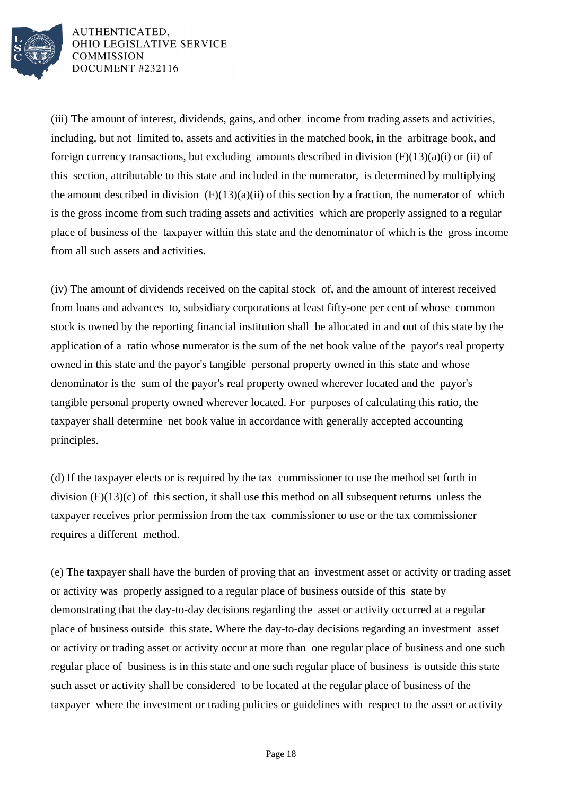![](_page_17_Picture_0.jpeg)

(iii) The amount of interest, dividends, gains, and other income from trading assets and activities, including, but not limited to, assets and activities in the matched book, in the arbitrage book, and foreign currency transactions, but excluding amounts described in division  $(F)(13)(a)(i)$  or (ii) of this section, attributable to this state and included in the numerator, is determined by multiplying the amount described in division  $(F)(13)(a)(ii)$  of this section by a fraction, the numerator of which is the gross income from such trading assets and activities which are properly assigned to a regular place of business of the taxpayer within this state and the denominator of which is the gross income from all such assets and activities.

(iv) The amount of dividends received on the capital stock of, and the amount of interest received from loans and advances to, subsidiary corporations at least fifty-one per cent of whose common stock is owned by the reporting financial institution shall be allocated in and out of this state by the application of a ratio whose numerator is the sum of the net book value of the payor's real property owned in this state and the payor's tangible personal property owned in this state and whose denominator is the sum of the payor's real property owned wherever located and the payor's tangible personal property owned wherever located. For purposes of calculating this ratio, the taxpayer shall determine net book value in accordance with generally accepted accounting principles.

(d) If the taxpayer elects or is required by the tax commissioner to use the method set forth in division (F)(13)(c) of this section, it shall use this method on all subsequent returns unless the taxpayer receives prior permission from the tax commissioner to use or the tax commissioner requires a different method.

(e) The taxpayer shall have the burden of proving that an investment asset or activity or trading asset or activity was properly assigned to a regular place of business outside of this state by demonstrating that the day-to-day decisions regarding the asset or activity occurred at a regular place of business outside this state. Where the day-to-day decisions regarding an investment asset or activity or trading asset or activity occur at more than one regular place of business and one such regular place of business is in this state and one such regular place of business is outside this state such asset or activity shall be considered to be located at the regular place of business of the taxpayer where the investment or trading policies or guidelines with respect to the asset or activity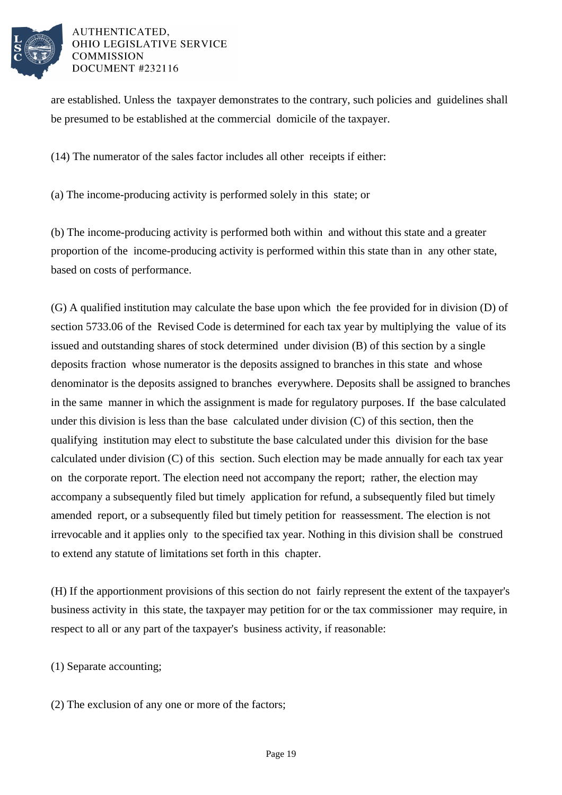![](_page_18_Picture_0.jpeg)

are established. Unless the taxpayer demonstrates to the contrary, such policies and guidelines shall be presumed to be established at the commercial domicile of the taxpayer.

(14) The numerator of the sales factor includes all other receipts if either:

(a) The income-producing activity is performed solely in this state; or

(b) The income-producing activity is performed both within and without this state and a greater proportion of the income-producing activity is performed within this state than in any other state, based on costs of performance.

(G) A qualified institution may calculate the base upon which the fee provided for in division (D) of section 5733.06 of the Revised Code is determined for each tax year by multiplying the value of its issued and outstanding shares of stock determined under division (B) of this section by a single deposits fraction whose numerator is the deposits assigned to branches in this state and whose denominator is the deposits assigned to branches everywhere. Deposits shall be assigned to branches in the same manner in which the assignment is made for regulatory purposes. If the base calculated under this division is less than the base calculated under division (C) of this section, then the qualifying institution may elect to substitute the base calculated under this division for the base calculated under division (C) of this section. Such election may be made annually for each tax year on the corporate report. The election need not accompany the report; rather, the election may accompany a subsequently filed but timely application for refund, a subsequently filed but timely amended report, or a subsequently filed but timely petition for reassessment. The election is not irrevocable and it applies only to the specified tax year. Nothing in this division shall be construed to extend any statute of limitations set forth in this chapter.

(H) If the apportionment provisions of this section do not fairly represent the extent of the taxpayer's business activity in this state, the taxpayer may petition for or the tax commissioner may require, in respect to all or any part of the taxpayer's business activity, if reasonable:

(1) Separate accounting;

(2) The exclusion of any one or more of the factors;